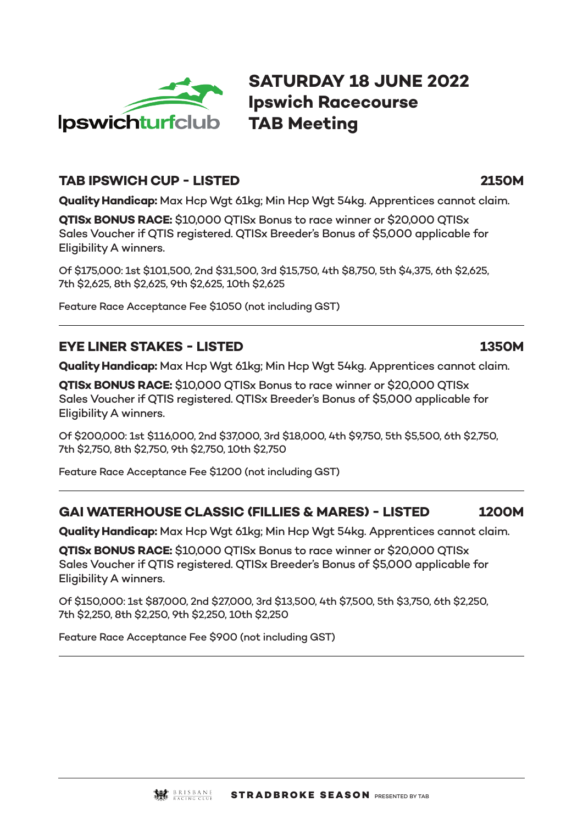

**SATURDAY 18 JUNE 2022 Ipswich Racecourse TAB Meeting**

#### **TAB IPSWICH CUP - LISTED 2150M**

**Quality Handicap:** Max Hcp Wgt 61kg; Min Hcp Wgt 54kg. Apprentices cannot claim.

**QTISx BONUS RACE:** \$10,000 QTISx Bonus to race winner or \$20,000 QTISx Sales Voucher if QTIS registered. QTISx Breeder's Bonus of \$5,000 applicable for Eligibility A winners.

Of \$175,000: 1st \$101,500, 2nd \$31,500, 3rd \$15,750, 4th \$8,750, 5th \$4,375, 6th \$2,625, 7th \$2,625, 8th \$2,625, 9th \$2,625, 10th \$2,625

Feature Race Acceptance Fee \$1050 (not including GST)

# **EYE LINER STAKES - LISTED 1350M**

**Quality Handicap:** Max Hcp Wgt 61kg; Min Hcp Wgt 54kg. Apprentices cannot claim.

**QTISx BONUS RACE:** \$10,000 QTISx Bonus to race winner or \$20,000 QTISx Sales Voucher if QTIS registered. QTISx Breeder's Bonus of \$5,000 applicable for Eligibility A winners.

Of \$200,000: 1st \$116,000, 2nd \$37,000, 3rd \$18,000, 4th \$9,750, 5th \$5,500, 6th \$2,750, 7th \$2,750, 8th \$2,750, 9th \$2,750, 10th \$2,750

Feature Race Acceptance Fee \$1200 (not including GST)

# **GAI WATERHOUSE CLASSIC (FILLIES & MARES) - LISTED 1200M**

**Quality Handicap:** Max Hcp Wgt 61kg; Min Hcp Wgt 54kg. Apprentices cannot claim.

**QTISx BONUS RACE:** \$10,000 QTISx Bonus to race winner or \$20,000 QTISx Sales Voucher if QTIS registered. QTISx Breeder's Bonus of \$5,000 applicable for Eligibility A winners.

Of \$150,000: 1st \$87,000, 2nd \$27,000, 3rd \$13,500, 4th \$7,500, 5th \$3,750, 6th \$2,250, 7th \$2,250, 8th \$2,250, 9th \$2,250, 10th \$2,250

Feature Race Acceptance Fee \$900 (not including GST)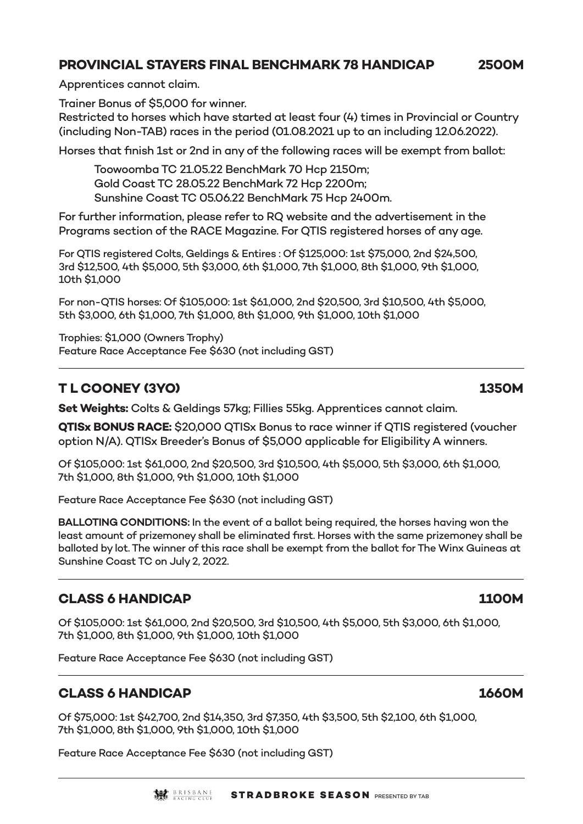## **PROVINCIAL STAYERS FINAL BENCHMARK 78 HANDICAP 2500M**

Apprentices cannot claim.

Trainer Bonus of \$5,000 for winner.

Restricted to horses which have started at least four (4) times in Provincial or Country (including Non-TAB) races in the period (01.08.2021 up to an including 12.06.2022).

Horses that finish 1st or 2nd in any of the following races will be exempt from ballot:

Toowoomba TC 21.05.22 BenchMark 70 Hcp 2150m; Gold Coast TC 28.05.22 BenchMark 72 Hcp 2200m; Sunshine Coast TC 05.06.22 BenchMark 75 Hcp 2400m.

For further information, please refer to RQ website and the advertisement in the Programs section of the RACE Magazine. For QTIS registered horses of any age.

For QTIS registered Colts, Geldings & Entires : Of \$125,000: 1st \$75,000, 2nd \$24,500, 3rd \$12,500, 4th \$5,000, 5th \$3,000, 6th \$1,000, 7th \$1,000, 8th \$1,000, 9th \$1,000, 10th \$1,000

For non-QTIS horses: Of \$105,000: 1st \$61,000, 2nd \$20,500, 3rd \$10,500, 4th \$5,000, 5th \$3,000, 6th \$1,000, 7th \$1,000, 8th \$1,000, 9th \$1,000, 10th \$1,000

Trophies: \$1,000 (Owners Trophy) Feature Race Acceptance Fee \$630 (not including GST)

# **T L COONEY (3YO) 1350M**

**Set Weights:** Colts & Geldings 57kg; Fillies 55kg. Apprentices cannot claim.

**QTISx BONUS RACE:** \$20,000 QTISx Bonus to race winner if QTIS registered (voucher option N/A). QTISx Breeder's Bonus of \$5,000 applicable for Eligibility A winners.

Of \$105,000: 1st \$61,000, 2nd \$20,500, 3rd \$10,500, 4th \$5,000, 5th \$3,000, 6th \$1,000, 7th \$1,000, 8th \$1,000, 9th \$1,000, 10th \$1,000

Feature Race Acceptance Fee \$630 (not including GST)

**BALLOTING CONDITIONS:** In the event of a ballot being required, the horses having won the least amount of prizemoney shall be eliminated first. Horses with the same prizemoney shall be balloted by lot. The winner of this race shall be exempt from the ballot for The Winx Guineas at Sunshine Coast TC on July 2, 2022.

## **CLASS 6 HANDICAP 1100M**

Of \$105,000: 1st \$61,000, 2nd \$20,500, 3rd \$10,500, 4th \$5,000, 5th \$3,000, 6th \$1,000, 7th \$1,000, 8th \$1,000, 9th \$1,000, 10th \$1,000

Feature Race Acceptance Fee \$630 (not including GST)

## **CLASS 6 HANDICAP 1660M**

Of \$75,000: 1st \$42,700, 2nd \$14,350, 3rd \$7,350, 4th \$3,500, 5th \$2,100, 6th \$1,000, 7th \$1,000, 8th \$1,000, 9th \$1,000, 10th \$1,000

Feature Race Acceptance Fee \$630 (not including GST)